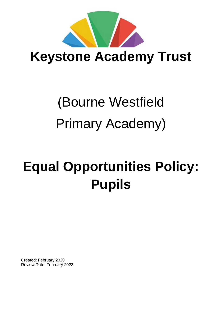

**Keystone Academy Trust** 

# (Bourne Westfield Primary Academy)

# **Equal Opportunities Policy: Pupils**

Created: February 2020 Review Date: February 2022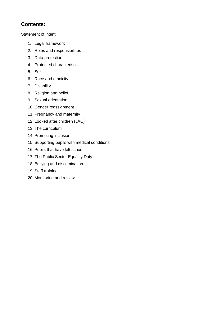# **Contents:**

Statement of intent

- 1. Legal framework
- 2. Roles and responsibilities
- 3. Data protection
- 4. Protected characteristics
- 5. Sex
- 6. Race and ethnicity
- 7. Disability
- 8. Religion and belief
- 9. Sexual orientation
- 10. Gender reassignment
- 11. Pregnancy and maternity
- 12. Looked after children (LAC)
- 13. The curriculum
- 14. Promoting inclusion
- 15. Supporting pupils with medical conditions
- 16. Pupils that have left school
- 17. The Public Sector Equality Duty
- 18. Bullying and discrimination
- 19. Staff training
- 20. Monitoring and review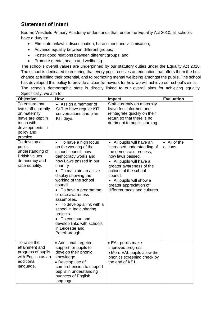# **Statement of intent**

Bourne Westfield Primary Academy understands that, under the Equality Act 2010, all schools have a duty to:

- Eliminate unlawful discrimination, harassment and victimisation;
- Advance equality between different groups;
- Foster good relations between different groups; and
- Promote mental health and wellbeing.

The school's overall values are underpinned by our statutory duties under the Equality Act 2010. The school is dedicated to ensuring that every pupil receives an education that offers them the best chance at fulfilling their potential, and to promoting mental wellbeing amongst the pupils. The school has developed this policy to provide a clear framework for how we will achieve our school's aims.

The school's demographic state is directly linked to our overall aims for achieving equality. Specifically, we aim to:

| <b>Objective</b>                                                                                                                       | How                                                                                                                                                                                                                                                                                                                                                                                                                                                              | <b>Impact</b>                                                                                                                                                                                                                                                                                          | <b>Evaluation</b>        |
|----------------------------------------------------------------------------------------------------------------------------------------|------------------------------------------------------------------------------------------------------------------------------------------------------------------------------------------------------------------------------------------------------------------------------------------------------------------------------------------------------------------------------------------------------------------------------------------------------------------|--------------------------------------------------------------------------------------------------------------------------------------------------------------------------------------------------------------------------------------------------------------------------------------------------------|--------------------------|
| To ensure that<br>two staff currently<br>on maternity<br>leave are kept in<br>touch with<br>developments in<br>policy and<br>practice. | • Assign a member of<br>SLT to have regular KIT<br>conversations and plan<br>KIT days.                                                                                                                                                                                                                                                                                                                                                                           | Staff currently on maternity<br>leave feel informed and<br>reintegrate quickly on their<br>return so that there is no<br>detriment to pupils learning.                                                                                                                                                 |                          |
| To develop all<br>pupils<br>understanding of<br>British values,<br>democracy and<br>race equality.                                     | To have a high focus<br>$\bullet$<br>on the working of the<br>school council, how<br>democracy works and<br>how Laws passed in our<br>country.<br>• To maintain an active<br>display showing the<br>working of the school<br>council.<br>• To have a programme<br>of race awareness<br>assemblies.<br>• To develop a link with a<br>school in India sharing<br>projects.<br>• To continue and<br>develop links with schools<br>in Leicester and<br>Peterborough. | All pupils will have an<br>$\bullet$<br>increased understanding of<br>the democratic process,<br>how laws passed.<br>• All pupils will have a<br>greater awareness of the<br>actions of the school<br>council.<br>• All pupils will show a<br>greater appreciation of<br>different races and cultures. | • All of the<br>actions. |
| To raise the<br>attainment and<br>progress of pupils<br>with English as an<br>additional<br>language.                                  | • Additional targeted<br>support for pupils to<br>develop their phonic<br>knowledge.<br>• Develop use of<br>comprehension to support<br>pupils in understanding<br>nuances of English<br>language.                                                                                                                                                                                                                                                               | • EAL pupils make<br>improved progress.<br>• More EAL pupils allow the<br>phonics screening check by<br>the end of KS1.                                                                                                                                                                                |                          |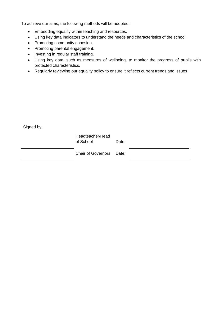To achieve our aims, the following methods will be adopted:

- Embedding equality within teaching and resources.
- Using key data indicators to understand the needs and characteristics of the school.
- Promoting community cohesion.
- Promoting parental engagement.
- Investing in regular staff training.
- Using key data, such as measures of wellbeing, to monitor the progress of pupils with protected characteristics.
- Regularly reviewing our equality policy to ensure it reflects current trends and issues.

Signed by:

Headteacher/Head of School Date:

Chair of Governors Date: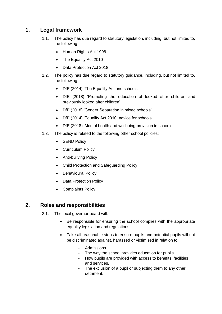# **1. Legal framework**

- 1.1. The policy has due regard to statutory legislation, including, but not limited to, the following:
	- Human Rights Act 1998
	- The Equality Act 2010
	- Data Protection Act 2018
- 1.2. The policy has due regard to statutory guidance, including, but not limited to, the following:
	- DfE (2014) 'The Equality Act and schools'
	- DfE (2018) 'Promoting the education of looked after children and previously looked after children'
	- DfE (2018) 'Gender Separation in mixed schools'
	- DfE (2014) 'Equality Act 2010: advice for schools'
	- DfE (2018) 'Mental health and wellbeing provision in schools'
- 1.3. The policy is related to the following other school policies:
	- SEND Policy
	- Curriculum Policy
	- Anti-bullying Policy
	- Child Protection and Safeguarding Policy
	- Behavioural Policy
	- Data Protection Policy
	- Complaints Policy

# **2. Roles and responsibilities**

- 2.1. The local governor board will:
	- Be responsible for ensuring the school complies with the appropriate equality legislation and regulations.
	- Take all reasonable steps to ensure pupils and potential pupils will not be discriminated against, harassed or victimised in relation to:
		- Admissions.
		- The way the school provides education for pupils.
		- How pupils are provided with access to benefits, facilities and services.
		- The exclusion of a pupil or subjecting them to any other detriment.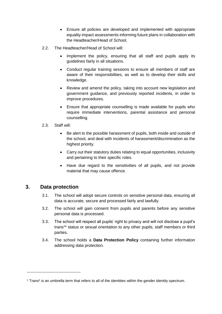- Ensure all policies are developed and implemented with appropriate equality impact assessments informing future plans in collaboration with the Headteacher/Head of School.
- 2.2. The Headteacher/Head of School will:
	- Implement the policy, ensuring that all staff and pupils apply its guidelines fairly in all situations.
	- Conduct regular training sessions to ensure all members of staff are aware of their responsibilities, as well as to develop their skills and knowledge.
	- Review and amend the policy, taking into account new legislation and government guidance, and previously reported incidents, in order to improve procedures.
	- Ensure that appropriate counselling is made available for pupils who require immediate interventions, parental assistance and personal counselling.
- 2.3. Staff will:
	- Be alert to the possible harassment of pupils, both inside and outside of the school, and deal with incidents of harassment/discrimination as the highest priority.
	- Carry out their statutory duties relating to equal opportunities, inclusivity and pertaining to their specific roles.
	- Have due regard to the sensitivities of all pupils, and not provide material that may cause offence.

#### **3. Data protection**

-

- 3.1. The school will adopt secure controls on sensitive personal data, ensuring all data is accurate, secure and processed fairly and lawfully.
- 3.2. The school will gain consent from pupils and parents before any sensitive personal data is processed.
- 3.3. The school will respect all pupils' right to privacy and will not disclose a pupil's trans<sup>1\*</sup> status or sexual orientation to any other pupils, staff members or third parties.
- 3.4. The school holds a **Data Protection Policy** containing further information addressing data protection.

<sup>1</sup> Trans\* is an umbrella term that refers to all of the identities within the gender identity spectrum.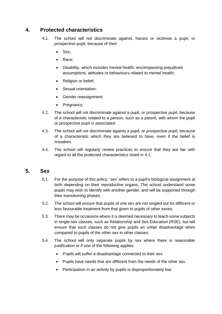# <span id="page-6-0"></span>**4. Protected characteristics**

- 4.1. The school will not discriminate against, harass or victimise a pupil, or prospective pupil, because of their:
	- Sex;
	- Race;
	- Disability, which includes mental health, encompassing prejudiced assumptions, attitudes or behaviours related to mental health;
	- Religion or belief;
	- Sexual orientation;
	- Gender reassignment;
	- Pregnancy.
- 4.2. The school will not discriminate against a pupil, or prospective pupil, because of a characteristic related to a person, such as a parent, with whom the pupil or prospective pupil is associated.
- 4.3. The school will not discriminate against a pupil, or prospective pupil, because of a characteristic which they are believed to have, even if the belief is mistaken.
- 4.4. The school will regularly review practices to ensure that they are fair with regard to all the protected characteristics listed in 4.1.

#### **5. Sex**

- 5.1. For the purpose of this policy, 'sex' refers to a pupil's biological assignment at birth depending on their reproductive organs. The school understand some pupils may wish to identify with another gender, and will be supported through their transitioning phases.
- 5.2. The school will ensure that pupils of one sex are not singled out for different or less favourable treatment from that given to pupils of other sexes.
- 5.3. There may be occasions where it is deemed necessary to teach some subjects in single-sex classes, such as Relationship and Sex Education (RSE), but will ensure that such classes do not give pupils an unfair disadvantage when compared to pupils of the other sex in other classes.
- 5.4. The school will only separate pupils by sex where there is reasonable justification or if one of the following applies:
	- Pupils will suffer a disadvantage connected to their sex.
	- Pupils have needs that are different from the needs of the other sex.
	- Participation in an activity by pupils is disproportionately low.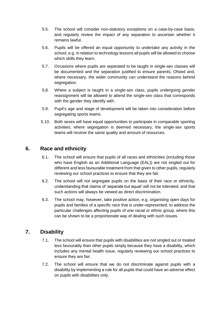- 5.5. The school will consider non-statutory exceptions on a case-by-case basis, and regularly review the impact of any separation to ascertain whether it remains lawful.
- 5.6. Pupils will be offered an equal opportunity to undertake any activity in the school, e.g. in relation to technology lessons all pupils will be allowed to choose which skills they learn.
- 5.7. Occasions where pupils are separated to be taught in single-sex classes will be documented and the separation justified to ensure parents, Ofsted and, where necessary, the wider community can understand the reasons behind segregation.
- 5.8. Where a subject is taught in a single-sex class, pupils undergoing gender reassignment will be allowed to attend the single-sex class that corresponds with the gender they identify with.
- 5.9. Pupil's age and stage of development will be taken into consideration before segregating sports teams.
- 5.10. Both sexes will have equal opportunities to participate in comparable sporting activities; where segregation is deemed necessary, the single-sex sports teams will receive the same quality and amount of resources.

#### **6. Race and ethnicity**

- 6.1. The school will ensure that pupils of all races and ethnicities (including those who have English as an Additional Language (EAL)) are not singled out for different and less favourable treatment from that given to other pupils, regularly reviewing our school practices to ensure that they are fair.
- 6.2. The school will not segregate pupils on the basis of their race or ethnicity, understanding that claims of 'separate but equal' will not be tolerated, and that such actions will always be viewed as direct discrimination.
- 6.3. The school may, however, take positive action, e.g. organising open days for pupils and families of a specific race that is under-represented, to address the particular challenges affecting pupils of one racial or ethnic group, where this can be shown to be a proportionate way of dealing with such issues.

#### **7. Disability**

- 7.1. The school will ensure that pupils with disabilities are not singled out or treated less favourably than other pupils simply because they have a disability, which includes any mental health issue, regularly reviewing our school practices to ensure they are fair.
- 7.2. The school will ensure that we do not discriminate against pupils with a disability by implementing a rule for all pupils that could have an adverse effect on pupils with disabilities only.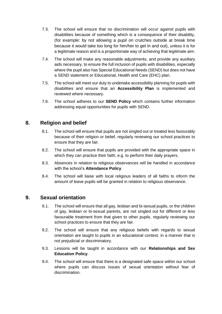- 7.3. The school will ensure that no discrimination will occur against pupils with disabilities because of something which is a consequence of their disability, (for example: by not allowing a pupil on crutches outside at break time because it would take too long for him/her to get in and out), unless it is for a legitimate reason and is a proportionate way of achieving that legitimate aim.
- 7.4. The school will make any reasonable adjustments, and provide any auxiliary aids necessary, to ensure the full inclusion of pupils with disabilities, especially where the pupil also has Special Educational Needs (SEND) but does not have a SEND statement or Educational, Health and Care (EHC) plan.
- 7.5. The school will meet our duty to undertake accessibility planning for pupils with disabilities and ensure that an **Accessibility Plan** is implemented and reviewed where necessary.
- 7.6. The school adheres to our **SEND Policy** which contains further information addressing equal opportunities for pupils with SEND.

# **8. Religion and belief**

- 8.1. The school will ensure that pupils are not singled out or treated less favourably because of their religion or belief, regularly reviewing our school practices to ensure that they are fair.
- 8.2. The school will ensure that pupils are provided with the appropriate space in which they can practice their faith, e.g. to perform their daily prayers.
- 8.3. Absences in relation to religious observances will be handled in accordance with the school's **Attendance Policy**.
- 8.4. The school will liaise with local religious leaders of all faiths to inform the amount of leave pupils will be granted in relation to religious observance.

#### **9. Sexual orientation**

- 9.1. The school will ensure that all gay, lesbian and bi-sexual pupils, or the children of gay, lesbian or bi-sexual parents, are not singled out for different or less favourable treatment from that given to other pupils, regularly reviewing our school practices to ensure that they are fair.
- 9.2. The school will ensure that any religious beliefs with regards to sexual orientation are taught to pupils in an educational context, in a manner that is not prejudicial or discriminatory.
- 9.3. Lessons will be taught in accordance with our **Relationships and Sex Education Policy**.
- 9.4. The school will ensure that there is a designated safe space within our school where pupils can discuss issues of sexual orientation without fear of discrimination.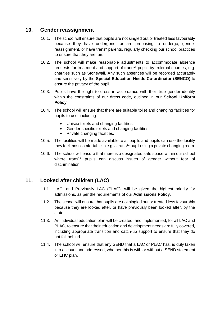#### **10. Gender reassignment**

- 10.1. The school will ensure that pupils are not singled out or treated less favourably because they have undergone, or are proposing to undergo, gender reassignment, or have trans\* parents, regularly checking our school practices to ensure that they are fair.
- 10.2. The school will make reasonable adjustments to accommodate absence requests for treatment and support of trans<sup>1\*</sup> pupils by external sources, e.g. charities such as Stonewall. Any such absences will be recorded accurately and sensitively by the **Special Education Needs Co-ordinator** (**SENCO)** to ensure the privacy of the pupil.
- 10.3. Pupils have the right to dress in accordance with their true gender identity within the constraints of our dress code, outlined in our **School Uniform Policy**.
- 10.4. The school will ensure that there are suitable toilet and changing facilities for pupils to use, including:
	- Unisex toilets and changing facilities;
	- Gender specific toilets and changing facilities;
	- Private changing facilities.
- 10.5. The facilities will be made available to all pupils and pupils can use the facility they feel most comfortable in e.g. a trans<sup>1\*</sup> pupil using a private changing room.
- 10.6. The school will ensure that there is a designated safe space within our school where trans<sup>1\*</sup> pupils can discuss issues of gender without fear of discrimination.

# **11. Looked after children (LAC)**

- 11.1. LAC, and Previously LAC (PLAC), will be given the highest priority for admissions, as per the requirements of our **Admissions Policy**.
- 11.2. The school will ensure that pupils are not singled out or treated less favourably because they are looked after, or have previously been looked after, by the state.
- 11.3. An individual education plan will be created, and implemented, for all LAC and PLAC, to ensure that their education and development needs are fully covered, including appropriate transition and catch-up support to ensure that they do not fall behind.
- 11.4. The school will ensure that any SEND that a LAC or PLAC has, is duly taken into account and addressed, whether this is with or without a SEND statement or EHC plan.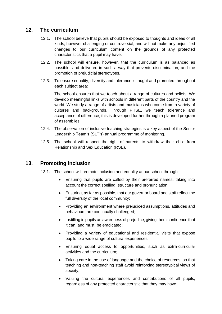#### **12. The curriculum**

- 12.1. The school believe that pupils should be exposed to thoughts and ideas of all kinds, however challenging or controversial, and will not make any unjustified changes to our curriculum content on the grounds of any protected characteristics that a pupil may have.
- 12.2. The school will ensure, however, that the curriculum is as balanced as possible, and delivered in such a way that prevents discrimination, and the promotion of prejudicial stereotypes.
- 12.3. To ensure equality, diversity and tolerance is taught and promoted throughout each subject area:

The school ensures that we teach about a range of cultures and beliefs. We develop meaningful links with schools in different parts of the country and the world. We study a range of artists and musicians who come from a variety of cultures and backgrounds. Through PHSE, we teach tolerance and acceptance of difference; this is developed further through a planned program of assemblies.

- 12.4. The observation of inclusive teaching strategies is a key aspect of the Senior Leadership Team's (SLT's) annual programme of monitoring.
- 12.5. The school will respect the right of parents to withdraw their child from Relationship and Sex Education (RSE).

#### **13. Promoting inclusion**

- 13.1. The school will promote inclusion and equality at our school through:
	- Ensuring that pupils are called by their preferred names, taking into account the correct spelling, structure and pronunciation;
	- Ensuring, as far as possible, that our governor board and staff reflect the full diversity of the local community;
	- Providing an environment where prejudiced assumptions, attitudes and behaviours are continually challenged;
	- Instilling in pupils an awareness of prejudice, giving them confidence that it can, and must, be eradicated;
	- Providing a variety of educational and residential visits that expose pupils to a wide range of cultural experiences;
	- Ensuring equal access to opportunities, such as extra-curricular activities and the curriculum;
	- Taking care in the use of language and the choice of resources, so that teaching and non-teaching staff avoid reinforcing stereotypical views of society;
	- Valuing the cultural experiences and contributions of all pupils, regardless of any protected characteristic that they may have;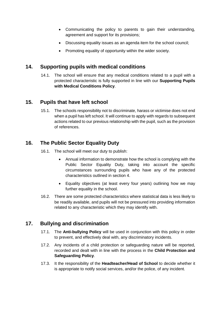- Communicating the policy to parents to gain their understanding, agreement and support for its provisions;
- Discussing equality issues as an agenda item for the school council;
- Promoting equality of opportunity within the wider society.

### **14. Supporting pupils with medical conditions**

14.1. The school will ensure that any medical conditions related to a pupil with a protected characteristic is fully supported in line with our **Supporting Pupils with Medical Conditions Policy**.

#### **15. Pupils that have left school**

15.1. The schools responsibility not to discriminate, harass or victimise does not end when a pupil has left school. It will continue to apply with regards to subsequent actions related to our previous relationship with the pupil, such as the provision of references.

# **16. The Public Sector Equality Duty**

- 16.1. The school will meet our duty to publish:
	- Annual information to demonstrate how the school is complying with the Public Sector Equality Duty, taking into account the specific circumstances surrounding pupils who have any of the protected characteristics outlined in [section 4.](#page-6-0)
	- Equality objectives (at least every four years) outlining how we may further equality in the school.
- 16.2. There are some protected characteristics where statistical data is less likely to be readily available, and pupils will not be pressured into providing information related to any characteristic which they may identify with.

# **17. Bullying and discrimination**

- 17.1. The **Anti-bullying Policy** will be used in conjunction with this policy in order to prevent, and effectively deal with, any discriminatory incidents.
- 17.2. Any incidents of a child protection or safeguarding nature will be reported, recorded and dealt with in line with the process in the **Child Protection and Safeguarding Policy**.
- 17.3. It the responsibility of the **Headteacher/Head of School** to decide whether it is appropriate to notify social services, and/or the police, of any incident.